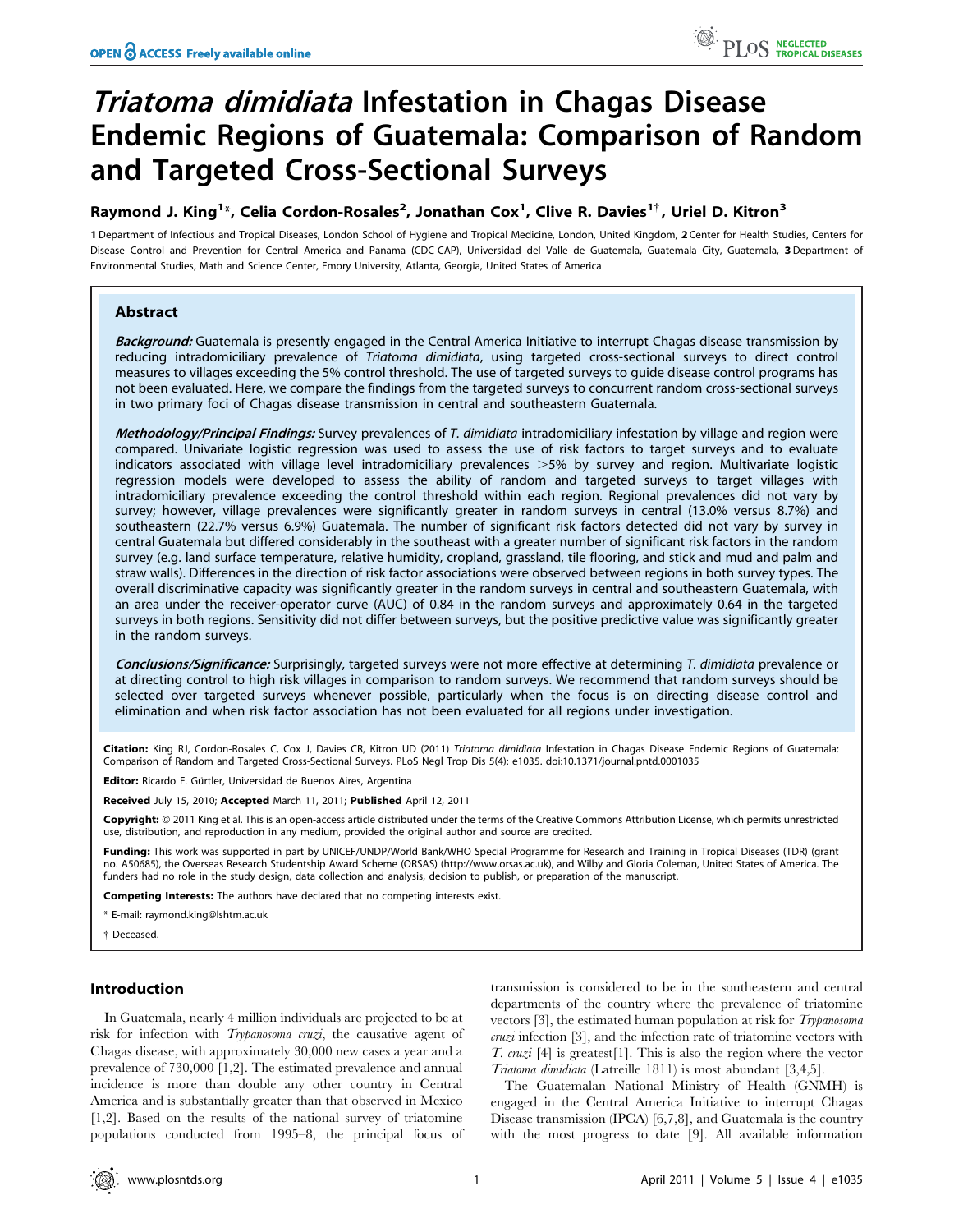# Triatoma dimidiata Infestation in Chagas Disease Endemic Regions of Guatemala: Comparison of Random and Targeted Cross-Sectional Surveys

# Raymond J. King $^{1\ast}$ , Celia Cordon-Rosales $^{2}$ , Jonathan Cox $^{1}$ , Clive R. Davies $^{1\dagger}$ , Uriel D. Kitron $^{3}$

1 Department of Infectious and Tropical Diseases, London School of Hygiene and Tropical Medicine, London, United Kingdom, 2 Center for Health Studies, Centers for Disease Control and Prevention for Central America and Panama (CDC-CAP), Universidad del Valle de Guatemala, Guatemala City, Guatemala, 3 Department of Environmental Studies, Math and Science Center, Emory University, Atlanta, Georgia, United States of America

# Abstract

Background: Guatemala is presently engaged in the Central America Initiative to interrupt Chagas disease transmission by reducing intradomiciliary prevalence of Triatoma dimidiata, using targeted cross-sectional surveys to direct control measures to villages exceeding the 5% control threshold. The use of targeted surveys to guide disease control programs has not been evaluated. Here, we compare the findings from the targeted surveys to concurrent random cross-sectional surveys in two primary foci of Chagas disease transmission in central and southeastern Guatemala.

Methodology/Principal Findings: Survey prevalences of T. dimidiata intradomiciliary infestation by village and region were compared. Univariate logistic regression was used to assess the use of risk factors to target surveys and to evaluate indicators associated with village level intradomiciliary prevalences  $>5%$  by survey and region. Multivariate logistic regression models were developed to assess the ability of random and targeted surveys to target villages with intradomiciliary prevalence exceeding the control threshold within each region. Regional prevalences did not vary by survey; however, village prevalences were significantly greater in random surveys in central (13.0% versus 8.7%) and southeastern (22.7% versus 6.9%) Guatemala. The number of significant risk factors detected did not vary by survey in central Guatemala but differed considerably in the southeast with a greater number of significant risk factors in the random survey (e.g. land surface temperature, relative humidity, cropland, grassland, tile flooring, and stick and mud and palm and straw walls). Differences in the direction of risk factor associations were observed between regions in both survey types. The overall discriminative capacity was significantly greater in the random surveys in central and southeastern Guatemala, with an area under the receiver-operator curve (AUC) of 0.84 in the random surveys and approximately 0.64 in the targeted surveys in both regions. Sensitivity did not differ between surveys, but the positive predictive value was significantly greater in the random surveys.

Conclusions/Significance: Surprisingly, targeted surveys were not more effective at determining T. dimidiata prevalence or at directing control to high risk villages in comparison to random surveys. We recommend that random surveys should be selected over targeted surveys whenever possible, particularly when the focus is on directing disease control and elimination and when risk factor association has not been evaluated for all regions under investigation.

Citation: King RJ, Cordon-Rosales C, Cox J, Davies CR, Kitron UD (2011) Triatoma dimidiata Infestation in Chagas Disease Endemic Regions of Guatemala: Comparison of Random and Targeted Cross-Sectional Surveys. PLoS Negl Trop Dis 5(4): e1035. doi:10.1371/journal.pntd.0001035

Editor: Ricardo E. Gürtler, Universidad de Buenos Aires, Argentina

Received July 15, 2010; Accepted March 11, 2011; Published April 12, 2011

Copyright: © 2011 King et al. This is an open-access article distributed under the terms of the Creative Commons Attribution License, which permits unrestricted use, distribution, and reproduction in any medium, provided the original author and source are credited.

Funding: This work was supported in part by UNICEF/UNDP/World Bank/WHO Special Programme for Research and Training in Tropical Diseases (TDR) (grant no. A50685), the Overseas Research Studentship Award Scheme (ORSAS) (http://www.orsas.ac.uk), and Wilby and Gloria Coleman, United States of America. The funders had no role in the study design, data collection and analysis, decision to publish, or preparation of the manuscript.

Competing Interests: The authors have declared that no competing interests exist.

\* E-mail: raymond.king@lshtm.ac.uk

{ Deceased.

# Introduction

In Guatemala, nearly 4 million individuals are projected to be at risk for infection with *Trypanosoma cruzi*, the causative agent of Chagas disease, with approximately 30,000 new cases a year and a prevalence of 730,000 [1,2]. The estimated prevalence and annual incidence is more than double any other country in Central America and is substantially greater than that observed in Mexico [1,2]. Based on the results of the national survey of triatomine populations conducted from 1995–8, the principal focus of transmission is considered to be in the southeastern and central departments of the country where the prevalence of triatomine vectors [3], the estimated human population at risk for Trypanosoma  $cnzi$  infection [3], and the infection rate of triatomine vectors with T.  $cnuzi$  [4] is greatest[1]. This is also the region where the vector Triatoma dimidiata (Latreille 1811) is most abundant [3,4,5].

The Guatemalan National Ministry of Health (GNMH) is engaged in the Central America Initiative to interrupt Chagas Disease transmission (IPCA) [6,7,8], and Guatemala is the country with the most progress to date [9]. All available information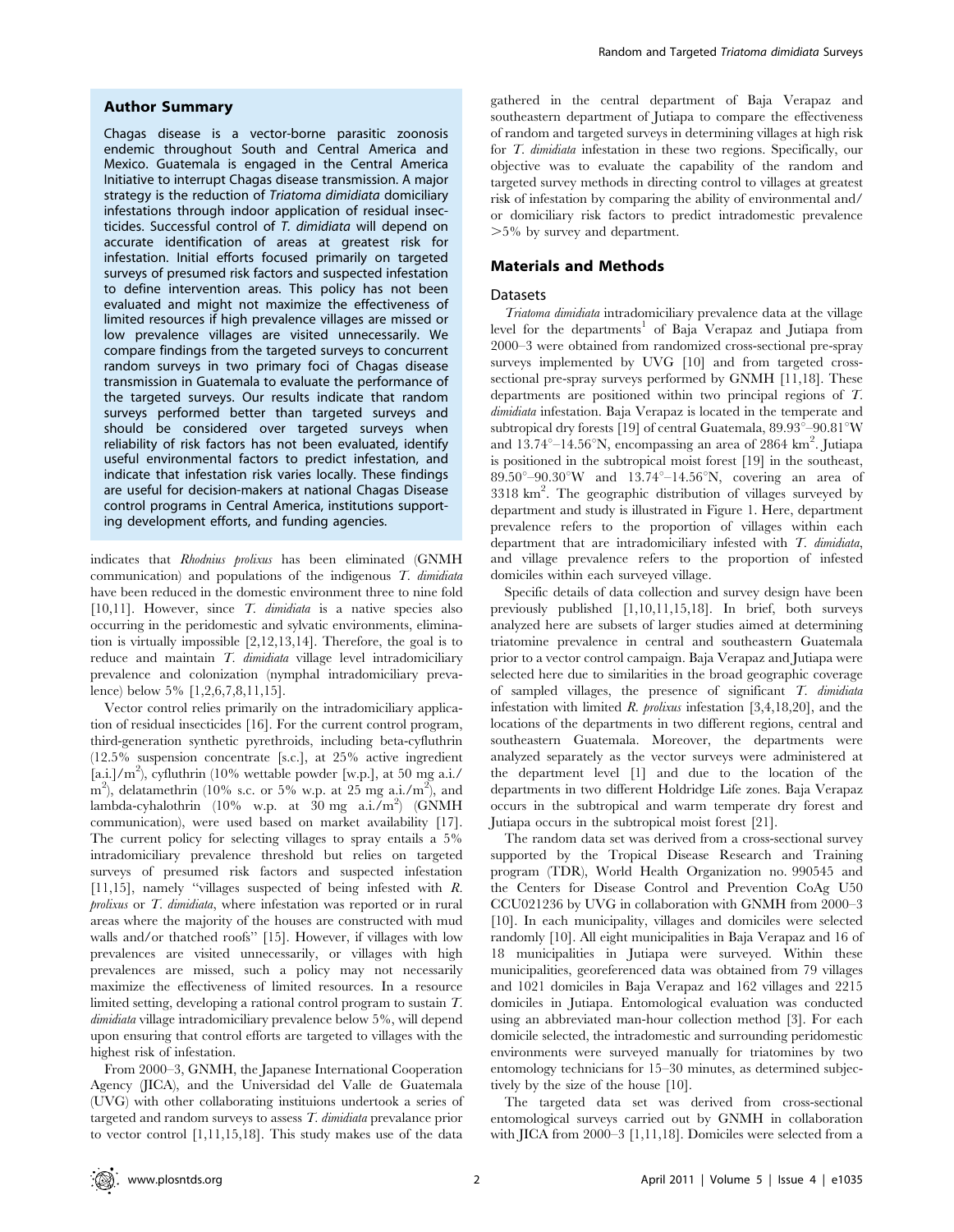#### Author Summary

Chagas disease is a vector-borne parasitic zoonosis endemic throughout South and Central America and Mexico. Guatemala is engaged in the Central America Initiative to interrupt Chagas disease transmission. A major strategy is the reduction of Triatoma dimidiata domiciliary infestations through indoor application of residual insecticides. Successful control of T. dimidiata will depend on accurate identification of areas at greatest risk for infestation. Initial efforts focused primarily on targeted surveys of presumed risk factors and suspected infestation to define intervention areas. This policy has not been evaluated and might not maximize the effectiveness of limited resources if high prevalence villages are missed or low prevalence villages are visited unnecessarily. We compare findings from the targeted surveys to concurrent random surveys in two primary foci of Chagas disease transmission in Guatemala to evaluate the performance of the targeted surveys. Our results indicate that random surveys performed better than targeted surveys and should be considered over targeted surveys when reliability of risk factors has not been evaluated, identify useful environmental factors to predict infestation, and indicate that infestation risk varies locally. These findings are useful for decision-makers at national Chagas Disease control programs in Central America, institutions supporting development efforts, and funding agencies.

indicates that Rhodnius prolixus has been eliminated (GNMH communication) and populations of the indigenous  $T$ . dimidiata have been reduced in the domestic environment three to nine fold [10,11]. However, since T. dimidiata is a native species also occurring in the peridomestic and sylvatic environments, elimination is virtually impossible [2,12,13,14]. Therefore, the goal is to reduce and maintain T. dimidiata village level intradomiciliary prevalence and colonization (nymphal intradomiciliary prevalence) below 5% [1,2,6,7,8,11,15].

Vector control relies primarily on the intradomiciliary application of residual insecticides [16]. For the current control program, third-generation synthetic pyrethroids, including beta-cyfluthrin (12.5% suspension concentrate [s.c.], at 25% active ingredient  $[a.i.]/m<sup>2</sup>$ ), cyfluthrin (10% wettable powder [w.p.], at 50 mg a.i./ m<sup>2</sup>), delatamethrin (10% s.c. or 5% w.p. at 25 mg a.i./m<sup>2</sup>), and lambda-cyhalothrin (10% w.p. at  $30 \text{ mg}$  a.i./m<sup>2</sup>) (GNMH communication), were used based on market availability [17]. The current policy for selecting villages to spray entails a 5% intradomiciliary prevalence threshold but relies on targeted surveys of presumed risk factors and suspected infestation [11,15], namely ''villages suspected of being infested with R. prolixus or T. dimidiata, where infestation was reported or in rural areas where the majority of the houses are constructed with mud walls and/or thatched roofs'' [15]. However, if villages with low prevalences are visited unnecessarily, or villages with high prevalences are missed, such a policy may not necessarily maximize the effectiveness of limited resources. In a resource limited setting, developing a rational control program to sustain T. dimidiata village intradomiciliary prevalence below 5%, will depend upon ensuring that control efforts are targeted to villages with the highest risk of infestation.

From 2000–3, GNMH, the Japanese International Cooperation Agency (JICA), and the Universidad del Valle de Guatemala (UVG) with other collaborating instituions undertook a series of targeted and random surveys to assess T. dimidiata prevalance prior to vector control [1,11,15,18]. This study makes use of the data

gathered in the central department of Baja Verapaz and southeastern department of Jutiapa to compare the effectiveness of random and targeted surveys in determining villages at high risk for T. dimidiata infestation in these two regions. Specifically, our objective was to evaluate the capability of the random and targeted survey methods in directing control to villages at greatest risk of infestation by comparing the ability of environmental and/ or domiciliary risk factors to predict intradomestic prevalence .5% by survey and department.

# Materials and Methods

#### **Datasets**

Triatoma dimidiata intradomiciliary prevalence data at the village level for the departments<sup>1</sup> of Baja Verapaz and Jutiapa from 2000–3 were obtained from randomized cross-sectional pre-spray surveys implemented by UVG [10] and from targeted crosssectional pre-spray surveys performed by GNMH [11,18]. These departments are positioned within two principal regions of T. dimidiata infestation. Baja Verapaz is located in the temperate and subtropical dry forests [19] of central Guatemala,  $89.93^{\circ} - 90.81^{\circ}$ W and  $13.74^{\circ}-14.56^{\circ}$ N, encompassing an area of 2864 km<sup>2</sup>. Jutiapa is positioned in the subtropical moist forest [19] in the southeast,  $89.50^{\circ} - 90.30^{\circ}$ W and  $13.74^{\circ} - 14.56^{\circ}$ N, covering an area of 3318 km2 . The geographic distribution of villages surveyed by department and study is illustrated in Figure 1. Here, department prevalence refers to the proportion of villages within each department that are intradomiciliary infested with T. dimidiata, and village prevalence refers to the proportion of infested domiciles within each surveyed village.

Specific details of data collection and survey design have been previously published [1,10,11,15,18]. In brief, both surveys analyzed here are subsets of larger studies aimed at determining triatomine prevalence in central and southeastern Guatemala prior to a vector control campaign. Baja Verapaz and Jutiapa were selected here due to similarities in the broad geographic coverage of sampled villages, the presence of significant T. dimidiata infestation with limited  $R$ . prolixus infestation [3,4,18,20], and the locations of the departments in two different regions, central and southeastern Guatemala. Moreover, the departments were analyzed separately as the vector surveys were administered at the department level [1] and due to the location of the departments in two different Holdridge Life zones. Baja Verapaz occurs in the subtropical and warm temperate dry forest and Jutiapa occurs in the subtropical moist forest [21].

The random data set was derived from a cross-sectional survey supported by the Tropical Disease Research and Training program (TDR), World Health Organization no. 990545 and the Centers for Disease Control and Prevention CoAg U50 CCU021236 by UVG in collaboration with GNMH from 2000–3 [10]. In each municipality, villages and domiciles were selected randomly [10]. All eight municipalities in Baja Verapaz and 16 of 18 municipalities in Jutiapa were surveyed. Within these municipalities, georeferenced data was obtained from 79 villages and 1021 domiciles in Baja Verapaz and 162 villages and 2215 domiciles in Jutiapa. Entomological evaluation was conducted using an abbreviated man-hour collection method [3]. For each domicile selected, the intradomestic and surrounding peridomestic environments were surveyed manually for triatomines by two entomology technicians for 15–30 minutes, as determined subjectively by the size of the house [10].

The targeted data set was derived from cross-sectional entomological surveys carried out by GNMH in collaboration with JICA from 2000–3 [1,11,18]. Domiciles were selected from a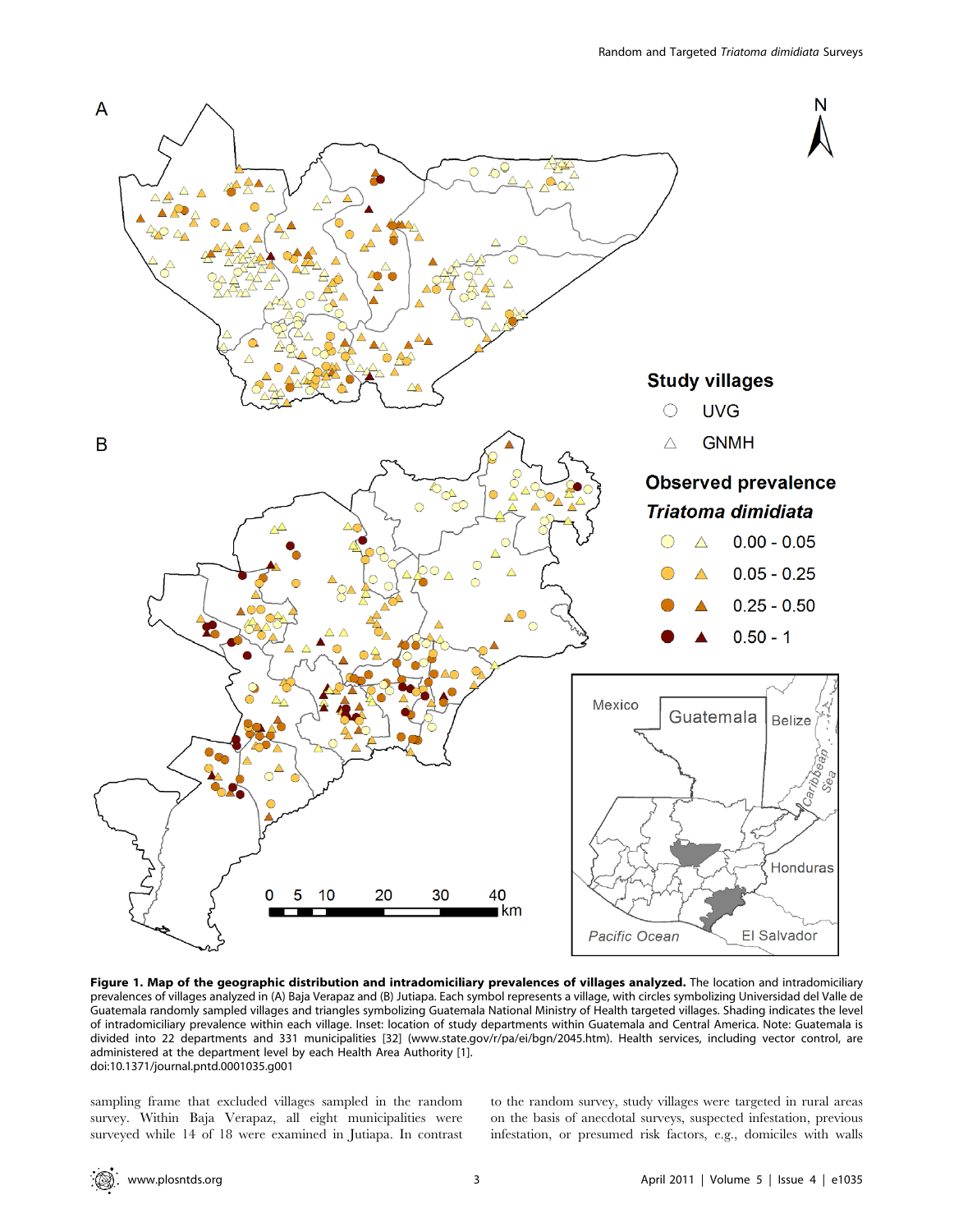

Figure 1. Map of the geographic distribution and intradomiciliary prevalences of villages analyzed. The location and intradomiciliary prevalences of villages analyzed in (A) Baja Verapaz and (B) Jutiapa. Each symbol represents a village, with circles symbolizing Universidad del Valle de Guatemala randomly sampled villages and triangles symbolizing Guatemala National Ministry of Health targeted villages. Shading indicates the level of intradomiciliary prevalence within each village. Inset: location of study departments within Guatemala and Central America. Note: Guatemala is divided into 22 departments and 331 municipalities [32] (www.state.gov/r/pa/ei/bgn/2045.htm). Health services, including vector control, are administered at the department level by each Health Area Authority [1]. doi:10.1371/journal.pntd.0001035.g001

sampling frame that excluded villages sampled in the random survey. Within Baja Verapaz, all eight municipalities were surveyed while 14 of 18 were examined in Jutiapa. In contrast to the random survey, study villages were targeted in rural areas on the basis of anecdotal surveys, suspected infestation, previous infestation, or presumed risk factors, e.g., domiciles with walls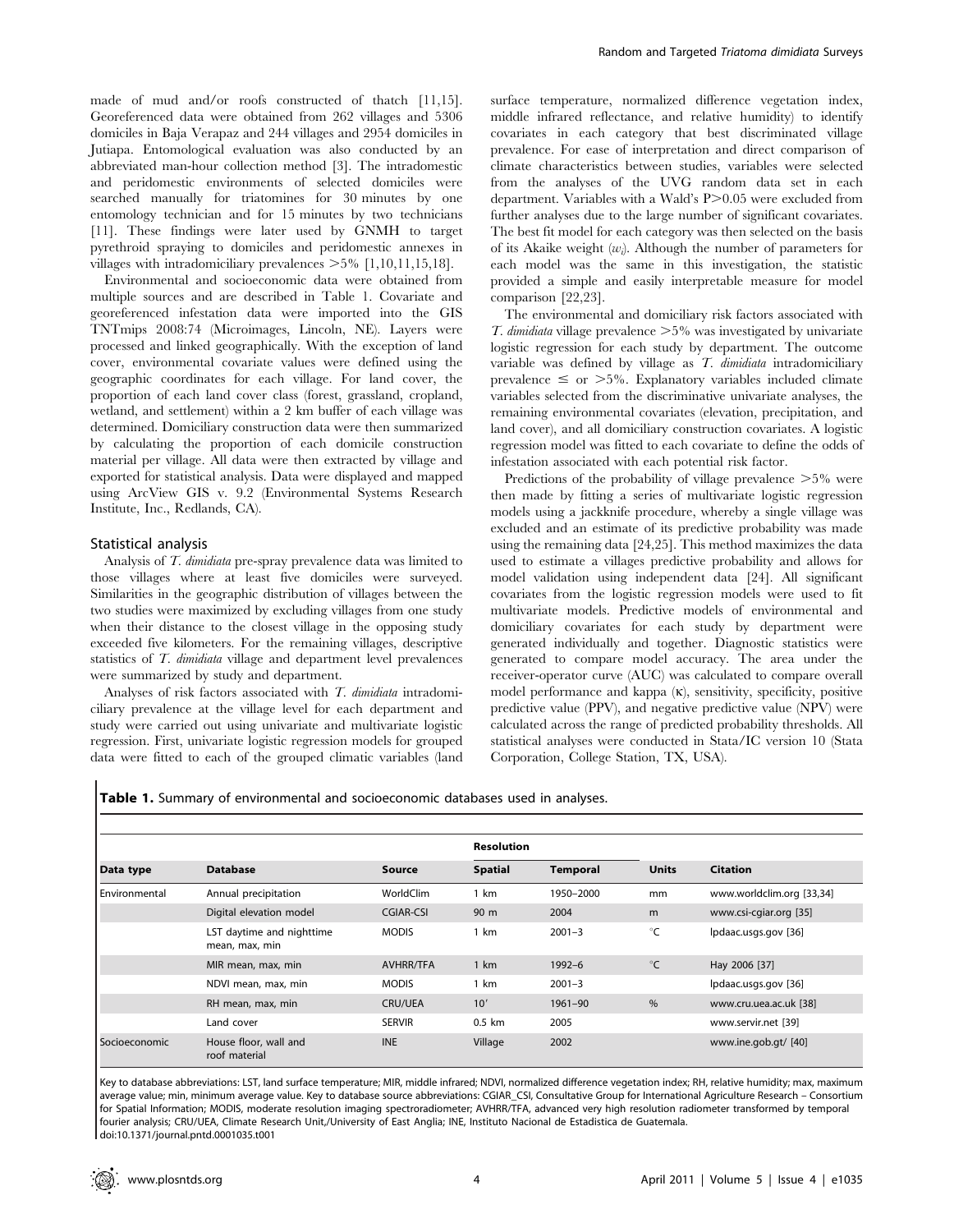made of mud and/or roofs constructed of thatch [11,15]. Georeferenced data were obtained from 262 villages and 5306 domiciles in Baja Verapaz and 244 villages and 2954 domiciles in Jutiapa. Entomological evaluation was also conducted by an abbreviated man-hour collection method [3]. The intradomestic and peridomestic environments of selected domiciles were searched manually for triatomines for 30 minutes by one entomology technician and for 15 minutes by two technicians [11]. These findings were later used by GNMH to target pyrethroid spraying to domiciles and peridomestic annexes in villages with intradomiciliary prevalences  $>5\%$  [1,10,11,15,18].

Environmental and socioeconomic data were obtained from multiple sources and are described in Table 1. Covariate and georeferenced infestation data were imported into the GIS TNTmips 2008:74 (Microimages, Lincoln, NE). Layers were processed and linked geographically. With the exception of land cover, environmental covariate values were defined using the geographic coordinates for each village. For land cover, the proportion of each land cover class (forest, grassland, cropland, wetland, and settlement) within a 2 km buffer of each village was determined. Domiciliary construction data were then summarized by calculating the proportion of each domicile construction material per village. All data were then extracted by village and exported for statistical analysis. Data were displayed and mapped using ArcView GIS v. 9.2 (Environmental Systems Research Institute, Inc., Redlands, CA).

#### Statistical analysis

 $\overline{\phantom{a}}$ 

Analysis of T. dimidiata pre-spray prevalence data was limited to those villages where at least five domiciles were surveyed. Similarities in the geographic distribution of villages between the two studies were maximized by excluding villages from one study when their distance to the closest village in the opposing study exceeded five kilometers. For the remaining villages, descriptive statistics of T. dimidiata village and department level prevalences were summarized by study and department.

Analyses of risk factors associated with T. dimidiata intradomiciliary prevalence at the village level for each department and study were carried out using univariate and multivariate logistic regression. First, univariate logistic regression models for grouped data were fitted to each of the grouped climatic variables (land

surface temperature, normalized difference vegetation index, middle infrared reflectance, and relative humidity) to identify covariates in each category that best discriminated village prevalence. For ease of interpretation and direct comparison of climate characteristics between studies, variables were selected from the analyses of the UVG random data set in each department. Variables with a Wald's P>0.05 were excluded from further analyses due to the large number of significant covariates. The best fit model for each category was then selected on the basis of its Akaike weight  $(w_i)$ . Although the number of parameters for each model was the same in this investigation, the statistic provided a simple and easily interpretable measure for model comparison [22,23].

The environmental and domiciliary risk factors associated with T. dimidiata village prevalence  $>5\%$  was investigated by univariate logistic regression for each study by department. The outcome variable was defined by village as T. dimidiata intradomiciliary prevalence  $\leq$  or  $>5\%$ . Explanatory variables included climate variables selected from the discriminative univariate analyses, the remaining environmental covariates (elevation, precipitation, and land cover), and all domiciliary construction covariates. A logistic regression model was fitted to each covariate to define the odds of infestation associated with each potential risk factor.

Predictions of the probability of village prevalence  $>5\%$  were then made by fitting a series of multivariate logistic regression models using a jackknife procedure, whereby a single village was excluded and an estimate of its predictive probability was made using the remaining data [24,25]. This method maximizes the data used to estimate a villages predictive probability and allows for model validation using independent data [24]. All significant covariates from the logistic regression models were used to fit multivariate models. Predictive models of environmental and domiciliary covariates for each study by department were generated individually and together. Diagnostic statistics were generated to compare model accuracy. The area under the receiver-operator curve (AUC) was calculated to compare overall model performance and kappa  $(K)$ , sensitivity, specificity, positive predictive value (PPV), and negative predictive value (NPV) were calculated across the range of predicted probability thresholds. All statistical analyses were conducted in Stata/IC version 10 (Stata Corporation, College Station, TX, USA).

|                 |                                             |                  | <b>Resolution</b>          |            |              |                           |  |
|-----------------|---------------------------------------------|------------------|----------------------------|------------|--------------|---------------------------|--|
| Data type       | <b>Database</b>                             | <b>Source</b>    | <b>Spatial</b><br>Temporal |            | <b>Units</b> | <b>Citation</b>           |  |
| l Environmental | Annual precipitation                        | WorldClim        | 1 km                       | 1950-2000  | mm           | www.worldclim.org [33,34] |  |
|                 | Digital elevation model                     | CGIAR-CSI        | 90 m                       | 2004       | m            | www.csi-cgiar.org [35]    |  |
|                 | LST daytime and nighttime<br>mean, max, min | <b>MODIS</b>     | 1 km                       | $2001 - 3$ | °C           | Ipdaac.usgs.gov [36]      |  |
|                 | MIR mean, max, min                          | <b>AVHRR/TFA</b> | 1 km                       | $1992 - 6$ | $^{\circ}C$  | Hay 2006 [37]             |  |
|                 | NDVI mean, max, min                         | <b>MODIS</b>     | 1 km                       | $2001 - 3$ |              | Ipdaac.usgs.gov [36]      |  |
|                 | RH mean, max, min                           | <b>CRU/UEA</b>   | 10'                        | 1961-90    | $\%$         | www.cru.uea.ac.uk [38]    |  |
|                 | Land cover                                  | <b>SERVIR</b>    | $0.5$ km                   | 2005       |              | www.servir.net [39]       |  |
| Socioeconomic   | House floor, wall and<br>roof material      | <b>INE</b>       | Village                    | 2002       |              | www.ine.gob.gt/ [40]      |  |

Key to database abbreviations: LST, land surface temperature; MIR, middle infrared; NDVI, normalized difference vegetation index; RH, relative humidity; max, maximum average value; min, minimum average value. Key to database source abbreviations: CGIAR\_CSI, Consultative Group for International Agriculture Research - Consortium for Spatial Information; MODIS, moderate resolution imaging spectroradiometer; AVHRR/TFA, advanced very high resolution radiometer transformed by temporal fourier analysis; CRU/UEA, Climate Research Unit,/University of East Anglia; INE, Instituto Nacional de Estadistica de Guatemala. doi:10.1371/journal.pntd.0001035.t001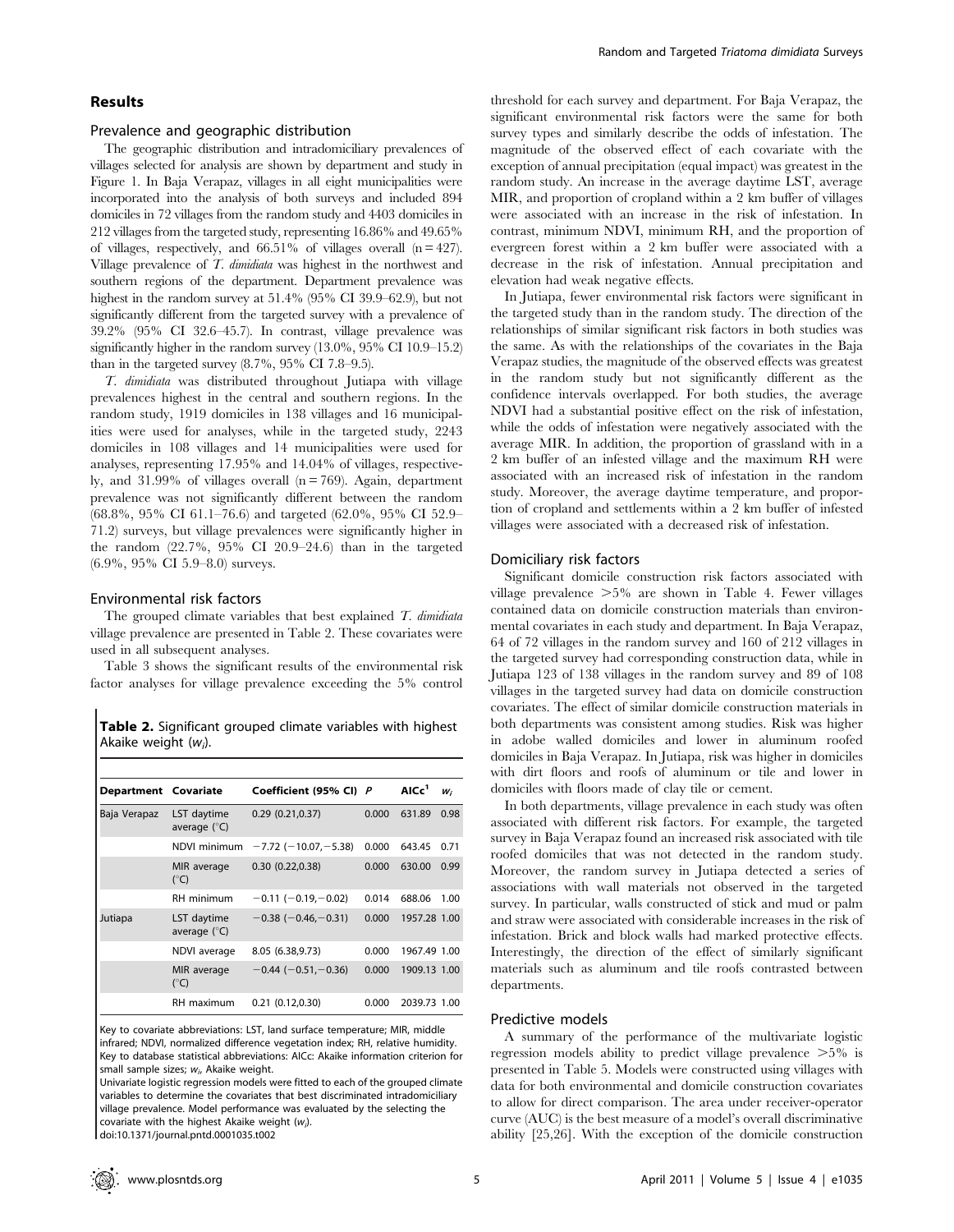# Results

#### Prevalence and geographic distribution

The geographic distribution and intradomiciliary prevalences of villages selected for analysis are shown by department and study in Figure 1. In Baja Verapaz, villages in all eight municipalities were incorporated into the analysis of both surveys and included 894 domiciles in 72 villages from the random study and 4403 domiciles in 212 villages from the targeted study, representing 16.86% and 49.65% of villages, respectively, and  $66.51\%$  of villages overall  $(n = 427)$ . Village prevalence of T. dimidiata was highest in the northwest and southern regions of the department. Department prevalence was highest in the random survey at 51.4% (95% CI 39.9–62.9), but not significantly different from the targeted survey with a prevalence of 39.2% (95% CI 32.6–45.7). In contrast, village prevalence was significantly higher in the random survey (13.0%, 95% CI 10.9–15.2) than in the targeted survey (8.7%, 95% CI 7.8–9.5).

T. dimidiata was distributed throughout Jutiapa with village prevalences highest in the central and southern regions. In the random study, 1919 domiciles in 138 villages and 16 municipalities were used for analyses, while in the targeted study, 2243 domiciles in 108 villages and 14 municipalities were used for analyses, representing 17.95% and 14.04% of villages, respectively, and  $31.99\%$  of villages overall (n = 769). Again, department prevalence was not significantly different between the random (68.8%, 95% CI 61.1–76.6) and targeted (62.0%, 95% CI 52.9– 71.2) surveys, but village prevalences were significantly higher in the random  $(22.7\%$ ,  $95\%$  CI  $20.9-24.6$ ) than in the targeted (6.9%, 95% CI 5.9–8.0) surveys.

#### Environmental risk factors

The grouped climate variables that best explained  $T$ . dimidiata village prevalence are presented in Table 2. These covariates were used in all subsequent analyses.

Table 3 shows the significant results of the environmental risk factor analyses for village prevalence exceeding the 5% control

Table 2. Significant grouped climate variables with highest Akaike weight  $(w_i)$ .

| Department Covariate |                                      | Coefficient (95% CI) P         |       | AICc <sup>1</sup> | $W_i$ |
|----------------------|--------------------------------------|--------------------------------|-------|-------------------|-------|
| Baja Verapaz         | LST daytime<br>average $(^{\circ}C)$ | 0.29(0.21, 0.37)               | 0.000 | 631.89            | 0.98  |
|                      | NDVI minimum                         | $-7.72$ ( $-10.07$ , $-5.38$ ) | 0.000 | 643.45            | 0.71  |
|                      | MIR average<br>$(^{\circ}C)$         | 0.30(0.22, 0.38)               | 0.000 | 630.00            | 0.99  |
|                      | RH minimum                           | $-0.11(-0.19,-0.02)$           | 0.014 | 688.06            | 1.00  |
| Jutiapa              | LST daytime<br>average $(^{\circ}C)$ | $-0.38$ ( $-0.46$ , $-0.31$ )  | 0.000 | 1957.28 1.00      |       |
|                      | NDVI average                         | 8.05 (6.38,9.73)               | 0.000 | 1967.49 1.00      |       |
|                      | MIR average<br>$(^{\circ}C)$         | $-0.44$ ( $-0.51$ , $-0.36$ )  | 0.000 | 1909.13 1.00      |       |
|                      | RH maximum                           | 0.21(0.12.0.30)                | 0.000 | 2039.73 1.00      |       |

Key to covariate abbreviations: LST, land surface temperature; MIR, middle infrared; NDVI, normalized difference vegetation index; RH, relative humidity. Key to database statistical abbreviations: AICc: Akaike information criterion for small sample sizes;  $w_i$ , Akaike weight.

threshold for each survey and department. For Baja Verapaz, the significant environmental risk factors were the same for both survey types and similarly describe the odds of infestation. The magnitude of the observed effect of each covariate with the exception of annual precipitation (equal impact) was greatest in the random study. An increase in the average daytime LST, average MIR, and proportion of cropland within a 2 km buffer of villages were associated with an increase in the risk of infestation. In contrast, minimum NDVI, minimum RH, and the proportion of evergreen forest within a 2 km buffer were associated with a decrease in the risk of infestation. Annual precipitation and elevation had weak negative effects.

In Jutiapa, fewer environmental risk factors were significant in the targeted study than in the random study. The direction of the relationships of similar significant risk factors in both studies was the same. As with the relationships of the covariates in the Baja Verapaz studies, the magnitude of the observed effects was greatest in the random study but not significantly different as the confidence intervals overlapped. For both studies, the average NDVI had a substantial positive effect on the risk of infestation, while the odds of infestation were negatively associated with the average MIR. In addition, the proportion of grassland with in a 2 km buffer of an infested village and the maximum RH were associated with an increased risk of infestation in the random study. Moreover, the average daytime temperature, and proportion of cropland and settlements within a 2 km buffer of infested villages were associated with a decreased risk of infestation.

#### Domiciliary risk factors

Significant domicile construction risk factors associated with village prevalence  $>5\%$  are shown in Table 4. Fewer villages contained data on domicile construction materials than environmental covariates in each study and department. In Baja Verapaz, 64 of 72 villages in the random survey and 160 of 212 villages in the targeted survey had corresponding construction data, while in Jutiapa 123 of 138 villages in the random survey and 89 of 108 villages in the targeted survey had data on domicile construction covariates. The effect of similar domicile construction materials in both departments was consistent among studies. Risk was higher in adobe walled domiciles and lower in aluminum roofed domiciles in Baja Verapaz. In Jutiapa, risk was higher in domiciles with dirt floors and roofs of aluminum or tile and lower in domiciles with floors made of clay tile or cement.

In both departments, village prevalence in each study was often associated with different risk factors. For example, the targeted survey in Baja Verapaz found an increased risk associated with tile roofed domiciles that was not detected in the random study. Moreover, the random survey in Jutiapa detected a series of associations with wall materials not observed in the targeted survey. In particular, walls constructed of stick and mud or palm and straw were associated with considerable increases in the risk of infestation. Brick and block walls had marked protective effects. Interestingly, the direction of the effect of similarly significant materials such as aluminum and tile roofs contrasted between departments.

## Predictive models

A summary of the performance of the multivariate logistic regression models ability to predict village prevalence  $>5\%$  is presented in Table 5. Models were constructed using villages with data for both environmental and domicile construction covariates to allow for direct comparison. The area under receiver-operator curve (AUC) is the best measure of a model's overall discriminative ability [25,26]. With the exception of the domicile construction

Univariate logistic regression models were fitted to each of the grouped climate variables to determine the covariates that best discriminated intradomiciliary village prevalence. Model performance was evaluated by the selecting the covariate with the highest Akaike weight  $(w_i)$ . doi:10.1371/journal.pntd.0001035.t002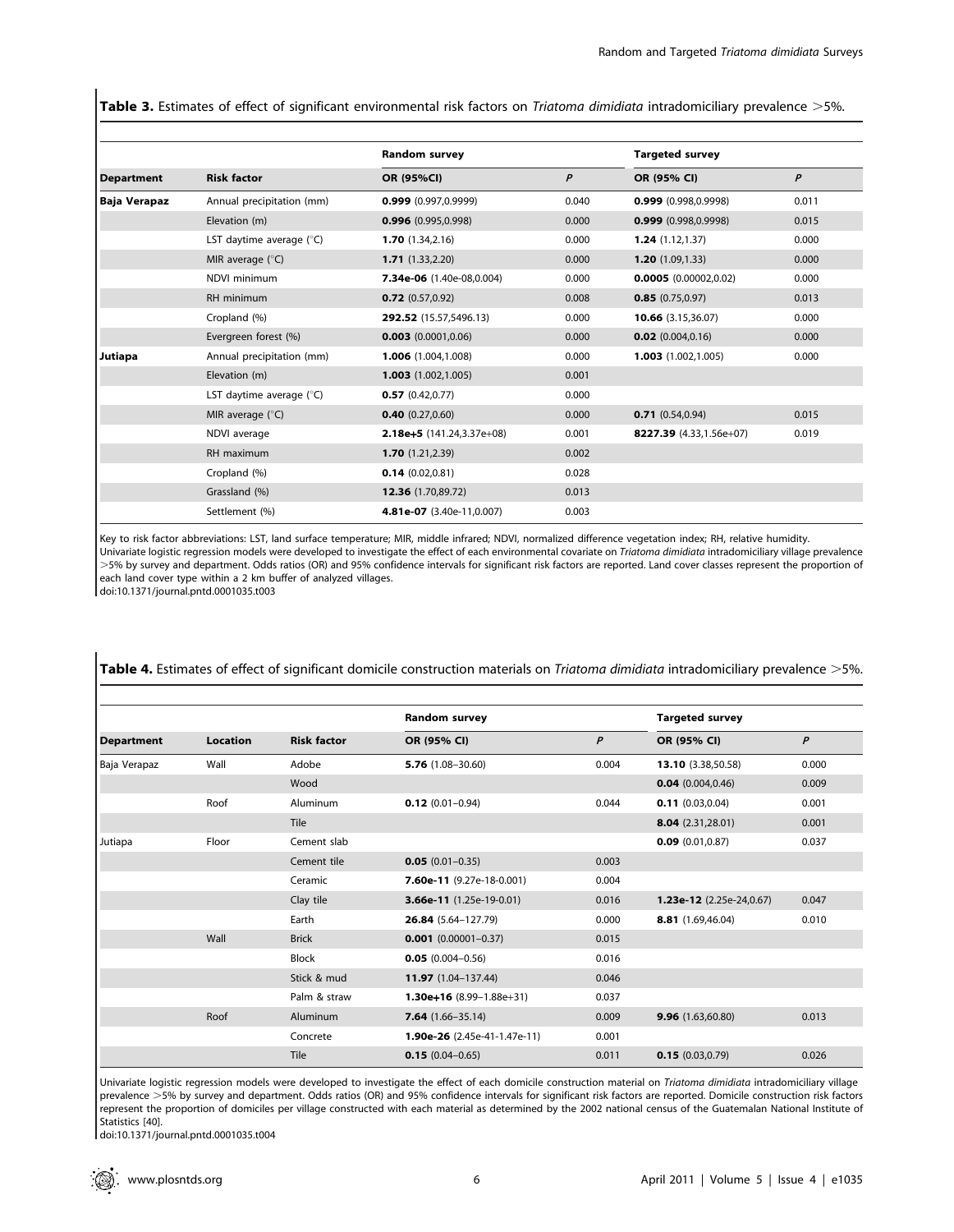Table 3. Estimates of effect of significant environmental risk factors on Triatoma dimidiata intradomiciliary prevalence >5%.

|                   |                           | Random survey               |       | <b>Targeted survey</b>  |       |
|-------------------|---------------------------|-----------------------------|-------|-------------------------|-------|
| <b>Department</b> | <b>Risk factor</b>        | OR (95%CI)                  | P     | OR (95% CI)             | P     |
| Baja Verapaz      | Annual precipitation (mm) | $0.999$ (0.997,0.9999)      | 0.040 | $0.999$ (0.998,0.9998)  | 0.011 |
|                   | Elevation (m)             | $0.996$ (0.995,0.998)       | 0.000 | $0.999$ (0.998,0.9998)  | 0.015 |
|                   | LST daytime average (°C)  | 1.70(1.34, 2.16)            | 0.000 | 1.24(1.12, 1.37)        | 0.000 |
|                   | MIR average $(^{\circ}C)$ | 1.71(1.33, 2.20)            | 0.000 | 1.20(1.09, 1.33)        | 0.000 |
|                   | NDVI minimum              | 7.34e-06 (1.40e-08,0.004)   | 0.000 | 0.0005(0.00002, 0.02)   | 0.000 |
|                   | RH minimum                | $0.72$ (0.57,0.92)          | 0.008 | 0.85(0.75,0.97)         | 0.013 |
|                   | Cropland (%)              | 292.52 (15.57,5496.13)      | 0.000 | 10.66 (3.15,36.07)      | 0.000 |
|                   | Evergreen forest (%)      | $0.003$ (0.0001,0.06)       | 0.000 | $0.02$ (0.004,0.16)     | 0.000 |
| Jutiapa           | Annual precipitation (mm) | 1.006 (1.004.1.008)         | 0.000 | 1.003(1.002, 1.005)     | 0.000 |
|                   | Elevation (m)             | $1.003$ $(1.002, 1.005)$    | 0.001 |                         |       |
|                   | LST daytime average (°C)  | 0.57(0.42, 0.77)            | 0.000 |                         |       |
|                   | MIR average $(^{\circ}C)$ | $0.40$ (0.27,0.60)          | 0.000 | 0.71(0.54, 0.94)        | 0.015 |
|                   | NDVI average              | $2.18e+5$ (141.24,3.37e+08) | 0.001 | 8227.39 (4.33,1.56e+07) | 0.019 |
|                   | RH maximum                | 1.70(1.21, 2.39)            | 0.002 |                         |       |
|                   | Cropland (%)              | 0.14(0.02,0.81)             | 0.028 |                         |       |
|                   | Grassland (%)             | 12.36 (1.70,89.72)          | 0.013 |                         |       |
|                   | Settlement (%)            | 4.81e-07 (3.40e-11,0.007)   | 0.003 |                         |       |

Key to risk factor abbreviations: LST, land surface temperature; MIR, middle infrared; NDVI, normalized difference vegetation index; RH, relative humidity. Univariate logistic regression models were developed to investigate the effect of each environmental covariate on Triatoma dimidiata intradomiciliary village prevalence .5% by survey and department. Odds ratios (OR) and 95% confidence intervals for significant risk factors are reported. Land cover classes represent the proportion of each land cover type within a 2 km buffer of analyzed villages.

doi:10.1371/journal.pntd.0001035.t003

|                   |          | <b>Risk factor</b> | Random survey                | <b>Targeted survey</b> |                            |       |
|-------------------|----------|--------------------|------------------------------|------------------------|----------------------------|-------|
| <b>Department</b> | Location |                    | OR (95% CI)                  | P                      | OR (95% CI)                | P     |
| Baja Verapaz      | Wall     | Adobe              | $5.76$ (1.08-30.60)          | 0.004                  | 13.10 (3.38,50.58)         | 0.000 |
|                   |          | Wood               |                              |                        | 0.04(0.004, 0.46)          | 0.009 |
|                   | Roof     | Aluminum           | $0.12(0.01 - 0.94)$          | 0.044                  | $0.11$ (0.03,0.04)         | 0.001 |
|                   |          | <b>Tile</b>        |                              |                        | 8.04(2.31,28.01)           | 0.001 |
| Jutiapa           | Floor    | Cement slab        |                              |                        | $0.09$ (0.01,0.87)         | 0.037 |
|                   |          | Cement tile        | $0.05(0.01 - 0.35)$          | 0.003                  |                            |       |
|                   |          | Ceramic            | 7.60e-11 $(9.27e-18-0.001)$  | 0.004                  |                            |       |
|                   |          | Clay tile          | 3.66e-11 (1.25e-19-0.01)     | 0.016                  | $1.23e-12$ (2.25e-24,0.67) | 0.047 |
|                   |          | Earth              | 26.84 (5.64-127.79)          | 0.000                  | 8.81 (1.69,46.04)          | 0.010 |
|                   | Wall     | <b>Brick</b>       | $0.001$ (0.00001-0.37)       | 0.015                  |                            |       |
|                   |          | <b>Block</b>       | $0.05(0.004 - 0.56)$         | 0.016                  |                            |       |
|                   |          | Stick & mud        | 11.97 (1.04-137.44)          | 0.046                  |                            |       |
|                   |          | Palm & straw       | $1.30e+16$ (8.99-1.88e+31)   | 0.037                  |                            |       |
|                   | Roof     | Aluminum           | <b>7.64</b> $(1.66 - 35.14)$ | 0.009                  | 9.96(1.63,60.80)           | 0.013 |
|                   |          | Concrete           | 1.90e-26 (2.45e-41-1.47e-11) | 0.001                  |                            |       |
|                   |          | Tile               | $0.15(0.04 - 0.65)$          | 0.011                  | 0.15(0.03, 0.79)           | 0.026 |

Table 4. Estimates of effect of significant domicile construction materials on Triatoma dimidiata intradomiciliary prevalence >5%.

Univariate logistic regression models were developed to investigate the effect of each domicile construction material on Triatoma dimidiata intradomiciliary village prevalence >5% by survey and department. Odds ratios (OR) and 95% confidence intervals for significant risk factors are reported. Domicile construction risk factors represent the proportion of domiciles per village constructed with each material as determined by the 2002 national census of the Guatemalan National Institute of Statistics [40].

doi:10.1371/journal.pntd.0001035.t004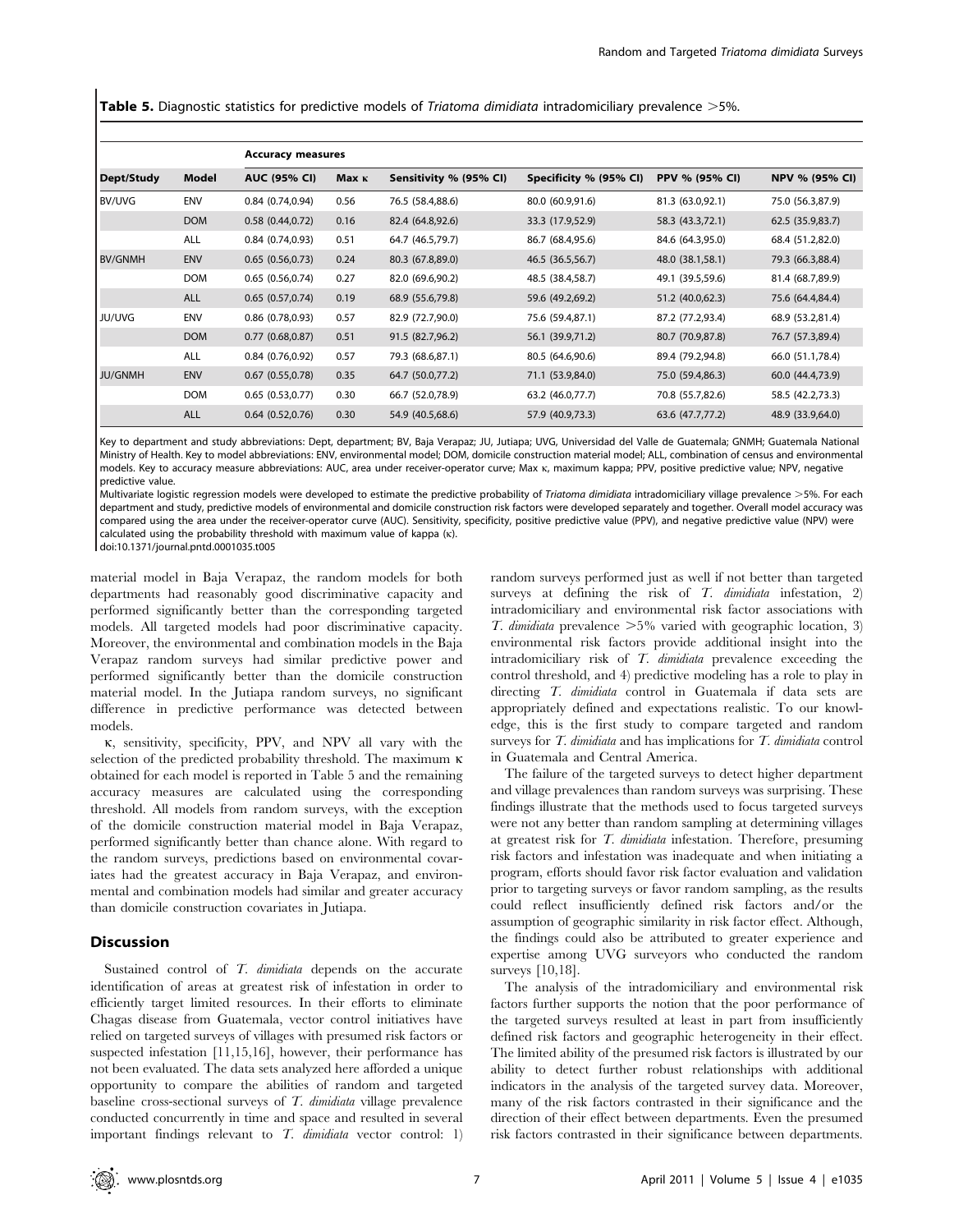Table 5. Diagnostic statistics for predictive models of Triatoma dimidiata intradomiciliary prevalence >5%.

|                |            | <b>Accuracy measures</b> |              |                        |                        |                  |                  |  |  |
|----------------|------------|--------------------------|--------------|------------------------|------------------------|------------------|------------------|--|--|
| Dept/Study     | Model      | <b>AUC (95% CI)</b>      | <b>Мах</b> к | Sensitivity % (95% CI) | Specificity % (95% CI) | PPV % (95% CI)   | NPV % (95% CI)   |  |  |
| <b>BV/UVG</b>  | <b>ENV</b> | 0.84(0.74, 0.94)         | 0.56         | 76.5 (58.4,88.6)       | 80.0 (60.9,91.6)       | 81.3 (63.0,92.1) | 75.0 (56.3,87.9) |  |  |
|                | <b>DOM</b> | 0.58(0.44, 0.72)         | 0.16         | 82.4 (64.8,92.6)       | 33.3 (17.9,52.9)       | 58.3 (43.3,72.1) | 62.5 (35.9,83.7) |  |  |
|                | ALL        | 0.84(0.74,0.93)          | 0.51         | 64.7 (46.5,79.7)       | 86.7 (68.4,95.6)       | 84.6 (64.3,95.0) | 68.4 (51.2,82.0) |  |  |
| <b>BV/GNMH</b> | <b>ENV</b> | 0.65(0.56,0.73)          | 0.24         | 80.3 (67.8,89.0)       | 46.5 (36.5,56.7)       | 48.0 (38.1,58.1) | 79.3 (66.3,88.4) |  |  |
|                | <b>DOM</b> | 0.65(0.56, 0.74)         | 0.27         | 82.0 (69.6,90.2)       | 48.5 (38.4,58.7)       | 49.1 (39.5,59.6) | 81.4 (68.7,89.9) |  |  |
|                | <b>ALL</b> | 0.65(0.57,0.74)          | 0.19         | 68.9 (55.6,79.8)       | 59.6 (49.2,69.2)       | 51.2 (40.0,62.3) | 75.6 (64.4,84.4) |  |  |
| JU/UVG         | <b>ENV</b> | $0.86$ (0.78,0.93)       | 0.57         | 82.9 (72.7,90.0)       | 75.6 (59.4,87.1)       | 87.2 (77.2,93.4) | 68.9 (53.2,81.4) |  |  |
|                | <b>DOM</b> | 0.77(0.68,0.87)          | 0.51         | 91.5 (82.7,96.2)       | 56.1 (39.9,71.2)       | 80.7 (70.9,87.8) | 76.7 (57.3,89.4) |  |  |
|                | ALL        | 0.84(0.76, 0.92)         | 0.57         | 79.3 (68.6,87.1)       | 80.5 (64.6,90.6)       | 89.4 (79.2,94.8) | 66.0 (51.1,78.4) |  |  |
| JU/GNMH        | <b>ENV</b> | $0.67$ $(0.55, 0.78)$    | 0.35         | 64.7 (50.0,77.2)       | 71.1 (53.9,84.0)       | 75.0 (59.4,86.3) | 60.0 (44.4,73.9) |  |  |
|                | <b>DOM</b> | 0.65(0.53,0.77)          | 0.30         | 66.7 (52.0,78.9)       | 63.2 (46.0,77.7)       | 70.8 (55.7,82.6) | 58.5 (42.2,73.3) |  |  |
|                | <b>ALL</b> | 0.64(0.52,0.76)          | 0.30         | 54.9 (40.5,68.6)       | 57.9 (40.9,73.3)       | 63.6 (47.7,77.2) | 48.9 (33.9,64.0) |  |  |

Key to department and study abbreviations: Dept, department; BV, Baja Verapaz; JU, Jutiapa; UVG, Universidad del Valle de Guatemala; GNMH; Guatemala National Ministry of Health. Key to model abbreviations: ENV, environmental model; DOM, domicile construction material model; ALL, combination of census and environmental models. Key to accuracy measure abbreviations: AUC, area under receiver-operator curve; Max k, maximum kappa; PPV, positive predictive value; NPV, negative predictive value.

Multivariate logistic regression models were developed to estimate the predictive probability of Triatoma dimidiata intradomiciliary village prevalence >5%. For each department and study, predictive models of environmental and domicile construction risk factors were developed separately and together. Overall model accuracy was compared using the area under the receiver-operator curve (AUC). Sensitivity, specificity, positive predictive value (PPV), and negative predictive value (NPV) were calculated using the probability threshold with maximum value of kappa (k).

doi:10.1371/journal.pntd.0001035.t005

material model in Baja Verapaz, the random models for both departments had reasonably good discriminative capacity and performed significantly better than the corresponding targeted models. All targeted models had poor discriminative capacity. Moreover, the environmental and combination models in the Baja Verapaz random surveys had similar predictive power and performed significantly better than the domicile construction material model. In the Jutiapa random surveys, no significant difference in predictive performance was detected between models.

k, sensitivity, specificity, PPV, and NPV all vary with the selection of the predicted probability threshold. The maximum k obtained for each model is reported in Table 5 and the remaining accuracy measures are calculated using the corresponding threshold. All models from random surveys, with the exception of the domicile construction material model in Baja Verapaz, performed significantly better than chance alone. With regard to the random surveys, predictions based on environmental covariates had the greatest accuracy in Baja Verapaz, and environmental and combination models had similar and greater accuracy than domicile construction covariates in Jutiapa.

#### Discussion

Sustained control of T. dimidiata depends on the accurate identification of areas at greatest risk of infestation in order to efficiently target limited resources. In their efforts to eliminate Chagas disease from Guatemala, vector control initiatives have relied on targeted surveys of villages with presumed risk factors or suspected infestation [11,15,16], however, their performance has not been evaluated. The data sets analyzed here afforded a unique opportunity to compare the abilities of random and targeted baseline cross-sectional surveys of T. dimidiata village prevalence conducted concurrently in time and space and resulted in several important findings relevant to  $T$ . dimidiata vector control: 1) random surveys performed just as well if not better than targeted surveys at defining the risk of  $T$ . dimidiata infestation, 2) intradomiciliary and environmental risk factor associations with T. dimidiata prevalence  $>5\%$  varied with geographic location, 3) environmental risk factors provide additional insight into the intradomiciliary risk of T. dimidiata prevalence exceeding the control threshold, and 4) predictive modeling has a role to play in directing T. dimidiata control in Guatemala if data sets are appropriately defined and expectations realistic. To our knowledge, this is the first study to compare targeted and random surveys for T. dimidiata and has implications for T. dimidiata control in Guatemala and Central America.

The failure of the targeted surveys to detect higher department and village prevalences than random surveys was surprising. These findings illustrate that the methods used to focus targeted surveys were not any better than random sampling at determining villages at greatest risk for T. dimidiata infestation. Therefore, presuming risk factors and infestation was inadequate and when initiating a program, efforts should favor risk factor evaluation and validation prior to targeting surveys or favor random sampling, as the results could reflect insufficiently defined risk factors and/or the assumption of geographic similarity in risk factor effect. Although, the findings could also be attributed to greater experience and expertise among UVG surveyors who conducted the random surveys [10,18].

The analysis of the intradomiciliary and environmental risk factors further supports the notion that the poor performance of the targeted surveys resulted at least in part from insufficiently defined risk factors and geographic heterogeneity in their effect. The limited ability of the presumed risk factors is illustrated by our ability to detect further robust relationships with additional indicators in the analysis of the targeted survey data. Moreover, many of the risk factors contrasted in their significance and the direction of their effect between departments. Even the presumed risk factors contrasted in their significance between departments.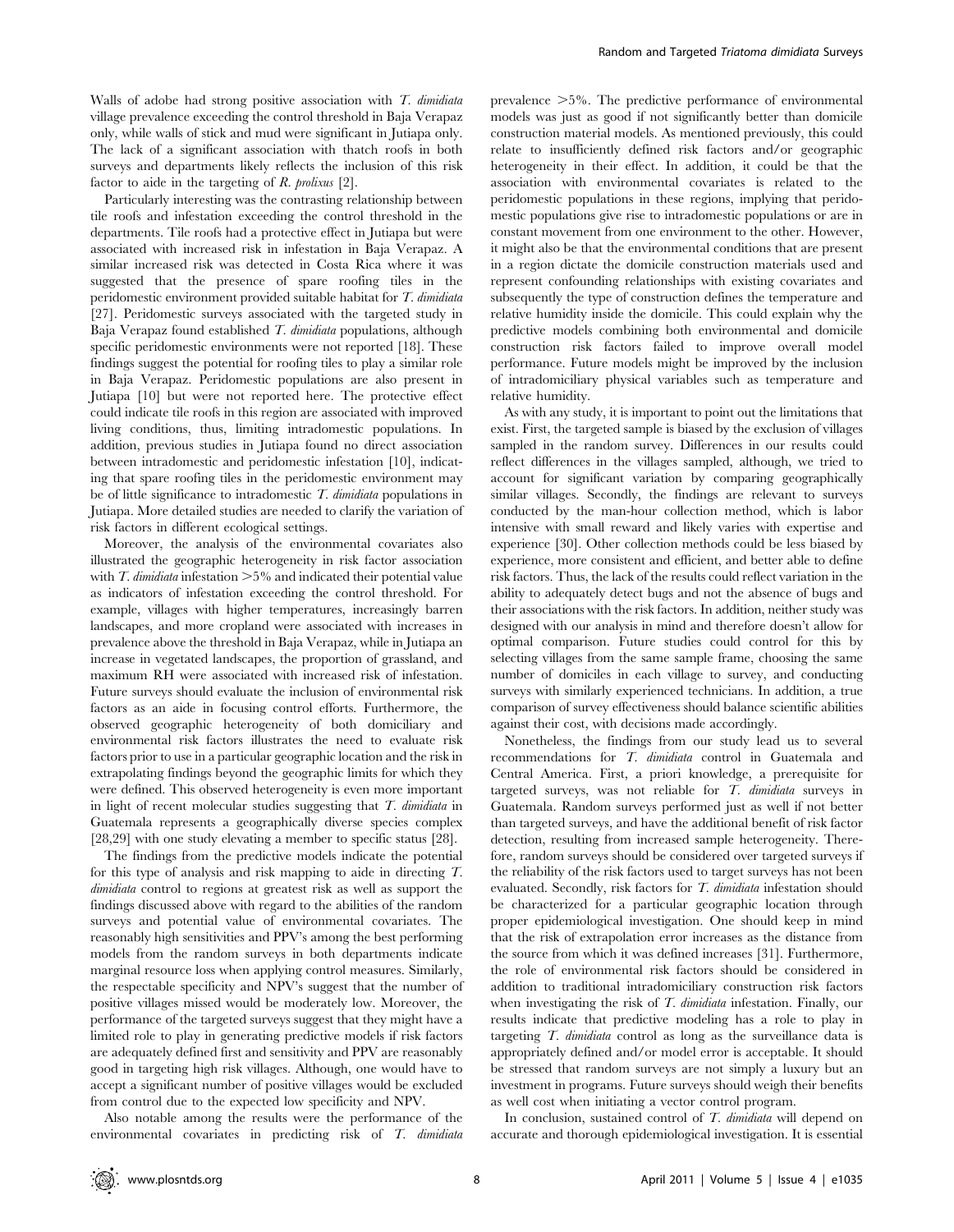Walls of adobe had strong positive association with  $T$ . dimidiata village prevalence exceeding the control threshold in Baja Verapaz only, while walls of stick and mud were significant in Jutiapa only. The lack of a significant association with thatch roofs in both surveys and departments likely reflects the inclusion of this risk factor to aide in the targeting of  $R$ . prolixus [2].

Particularly interesting was the contrasting relationship between tile roofs and infestation exceeding the control threshold in the departments. Tile roofs had a protective effect in Jutiapa but were associated with increased risk in infestation in Baja Verapaz. A similar increased risk was detected in Costa Rica where it was suggested that the presence of spare roofing tiles in the peridomestic environment provided suitable habitat for T. dimidiata [27]. Peridomestic surveys associated with the targeted study in Baja Verapaz found established T. dimidiata populations, although specific peridomestic environments were not reported [18]. These findings suggest the potential for roofing tiles to play a similar role in Baja Verapaz. Peridomestic populations are also present in Jutiapa [10] but were not reported here. The protective effect could indicate tile roofs in this region are associated with improved living conditions, thus, limiting intradomestic populations. In addition, previous studies in Jutiapa found no direct association between intradomestic and peridomestic infestation [10], indicating that spare roofing tiles in the peridomestic environment may be of little significance to intradomestic  $T$ . dimidiata populations in Jutiapa. More detailed studies are needed to clarify the variation of risk factors in different ecological settings.

Moreover, the analysis of the environmental covariates also illustrated the geographic heterogeneity in risk factor association with T. dimidiata infestation  $>5\%$  and indicated their potential value as indicators of infestation exceeding the control threshold. For example, villages with higher temperatures, increasingly barren landscapes, and more cropland were associated with increases in prevalence above the threshold in Baja Verapaz, while in Jutiapa an increase in vegetated landscapes, the proportion of grassland, and maximum RH were associated with increased risk of infestation. Future surveys should evaluate the inclusion of environmental risk factors as an aide in focusing control efforts. Furthermore, the observed geographic heterogeneity of both domiciliary and environmental risk factors illustrates the need to evaluate risk factors prior to use in a particular geographic location and the risk in extrapolating findings beyond the geographic limits for which they were defined. This observed heterogeneity is even more important in light of recent molecular studies suggesting that  $T$ . dimidiata in Guatemala represents a geographically diverse species complex [28,29] with one study elevating a member to specific status [28].

The findings from the predictive models indicate the potential for this type of analysis and risk mapping to aide in directing T. dimidiata control to regions at greatest risk as well as support the findings discussed above with regard to the abilities of the random surveys and potential value of environmental covariates. The reasonably high sensitivities and PPV's among the best performing models from the random surveys in both departments indicate marginal resource loss when applying control measures. Similarly, the respectable specificity and NPV's suggest that the number of positive villages missed would be moderately low. Moreover, the performance of the targeted surveys suggest that they might have a limited role to play in generating predictive models if risk factors are adequately defined first and sensitivity and PPV are reasonably good in targeting high risk villages. Although, one would have to accept a significant number of positive villages would be excluded from control due to the expected low specificity and NPV.

Also notable among the results were the performance of the environmental covariates in predicting risk of T. dimidiata prevalence  $>5\%$ . The predictive performance of environmental models was just as good if not significantly better than domicile construction material models. As mentioned previously, this could relate to insufficiently defined risk factors and/or geographic heterogeneity in their effect. In addition, it could be that the association with environmental covariates is related to the peridomestic populations in these regions, implying that peridomestic populations give rise to intradomestic populations or are in constant movement from one environment to the other. However, it might also be that the environmental conditions that are present in a region dictate the domicile construction materials used and represent confounding relationships with existing covariates and subsequently the type of construction defines the temperature and relative humidity inside the domicile. This could explain why the predictive models combining both environmental and domicile construction risk factors failed to improve overall model performance. Future models might be improved by the inclusion of intradomiciliary physical variables such as temperature and relative humidity.

As with any study, it is important to point out the limitations that exist. First, the targeted sample is biased by the exclusion of villages sampled in the random survey. Differences in our results could reflect differences in the villages sampled, although, we tried to account for significant variation by comparing geographically similar villages. Secondly, the findings are relevant to surveys conducted by the man-hour collection method, which is labor intensive with small reward and likely varies with expertise and experience [30]. Other collection methods could be less biased by experience, more consistent and efficient, and better able to define risk factors. Thus, the lack of the results could reflect variation in the ability to adequately detect bugs and not the absence of bugs and their associations with the risk factors. In addition, neither study was designed with our analysis in mind and therefore doesn't allow for optimal comparison. Future studies could control for this by selecting villages from the same sample frame, choosing the same number of domiciles in each village to survey, and conducting surveys with similarly experienced technicians. In addition, a true comparison of survey effectiveness should balance scientific abilities against their cost, with decisions made accordingly.

Nonetheless, the findings from our study lead us to several recommendations for T. dimidiata control in Guatemala and Central America. First, a priori knowledge, a prerequisite for targeted surveys, was not reliable for T. dimidiata surveys in Guatemala. Random surveys performed just as well if not better than targeted surveys, and have the additional benefit of risk factor detection, resulting from increased sample heterogeneity. Therefore, random surveys should be considered over targeted surveys if the reliability of the risk factors used to target surveys has not been evaluated. Secondly, risk factors for T. dimidiata infestation should be characterized for a particular geographic location through proper epidemiological investigation. One should keep in mind that the risk of extrapolation error increases as the distance from the source from which it was defined increases [31]. Furthermore, the role of environmental risk factors should be considered in addition to traditional intradomiciliary construction risk factors when investigating the risk of T. dimidiata infestation. Finally, our results indicate that predictive modeling has a role to play in targeting T. dimidiata control as long as the surveillance data is appropriately defined and/or model error is acceptable. It should be stressed that random surveys are not simply a luxury but an investment in programs. Future surveys should weigh their benefits as well cost when initiating a vector control program.

In conclusion, sustained control of T. dimidiata will depend on accurate and thorough epidemiological investigation. It is essential